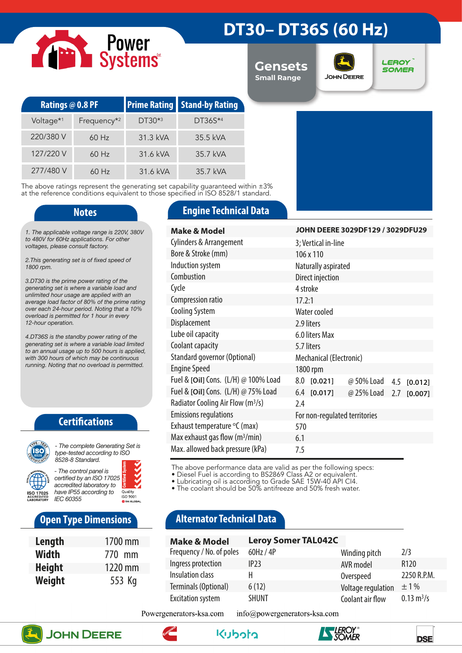

# **DT30– DT36S (60 Hz)**

**Gensets Small Range**



**LEROY SOMER** 

| <b>Ratings @ 0.8 PF</b> |                         |          | <b>Prime Rating Stand-by Rating</b> |  |
|-------------------------|-------------------------|----------|-------------------------------------|--|
| Voltage <sup>*1</sup>   | Frequency <sup>*2</sup> | DT30*3   | DT36S*4                             |  |
| 220/380 V               | $60$ Hz                 | 31.3 kVA | 35.5 kVA                            |  |
| 127/220 V               | $60$ Hz                 | 31.6 kVA | 35.7 kVA                            |  |
| 277/480 V               | $60$ Hz                 | 31.6 kVA | 35.7 kVA                            |  |

The above ratings represent the generating set capability guaranteed within  $\pm 3\%$ at the reference conditions equivalent to those specified in ISO 8528/1 standard.

*1. The applicable voltage range is 220V, 380V to 480V for 60Hz applications. For other voltages, please consult factory.* 

*2.This generating set is of fixed speed of 1800 rpm.*

*3.DT30 is the prime power rating of the generating set is where a variable load and unlimited hour usage are applied with an average load factor of 80% of the prime rating over each 24-hour period. Noting that a 10% overload is permitted for 1 hour in every 12-hour operation.*

*4.DT36S is the standby power rating of the generating set is where a variable load limited to an annual usage up to 500 hours is applied, with 300 hours of which may be continuous running. Noting that no overload is permitted.*

### **Certifications**



*type-tested according to ISO 8528-8 Standard. - The control panel is* 

*certified by an ISO 17025 accredited laboratory to have IP55 according to*  Quality<br>ISO 9001 *IEC 60355*

# **Open Type Dimensions**

| Length        | 1700 mm |
|---------------|---------|
| Width         | 770 mm  |
| <b>Height</b> | 1220 mm |
| Weight        | 553 Kg  |

### **Notes Engine Technical Data**

| <b>Make &amp; Model</b>                       | JOHN DEERE 3029DF129 / 3029DFU29         |  |  |  |
|-----------------------------------------------|------------------------------------------|--|--|--|
| Cylinders & Arrangement                       | 3; Vertical in-line                      |  |  |  |
| Bore & Stroke (mm)                            | 106 x 110                                |  |  |  |
| Induction system                              | Naturally aspirated                      |  |  |  |
| Combustion                                    | Direct injection                         |  |  |  |
| Cycle                                         | 4 stroke                                 |  |  |  |
| Compression ratio                             | 17.2:1                                   |  |  |  |
| <b>Cooling System</b>                         | Water cooled                             |  |  |  |
| Displacement                                  | 2.9 liters                               |  |  |  |
| Lube oil capacity                             | 6.0 liters Max                           |  |  |  |
| Coolant capacity                              | 5.7 liters                               |  |  |  |
| Standard governor (Optional)                  | Mechanical (Electronic)                  |  |  |  |
| <b>Engine Speed</b>                           | 1800 rpm                                 |  |  |  |
| Fuel & [Oil] Cons. (L/H) @ 100% Load          | 8.0 [0.021]<br>@ 50% Load 4.5<br>[0.012] |  |  |  |
| Fuel & [Oil] Cons. (L/H) @ 75% Load           | 6.4 [0.017]<br>@ 25% Load 2.7 [0.007]    |  |  |  |
| Radiator Cooling Air Flow (m <sup>3</sup> /s) | 2.4                                      |  |  |  |
| <b>Emissions regulations</b>                  | For non-regulated territories            |  |  |  |
| Exhaust temperature °C (max)                  | 570                                      |  |  |  |
| Max exhaust gas flow $(m^3/min)$              | 6.1                                      |  |  |  |
| Max. allowed back pressure (kPa)              | 7.5                                      |  |  |  |

The above performance data are valid as per the following specs:

• Diesel Fuel is according to BS2869 Class A2 or equivalent.

• Lubricating oil is according to Grade SAE 15W-40 API CI4.

• The coolant should be 50% antifreeze and 50% fresh water.

# **Alternator Technical Data**

| <b>Make &amp; Model</b>  | <b>Leroy Somer TAL042C</b> |                    |                             |
|--------------------------|----------------------------|--------------------|-----------------------------|
| Frequency / No. of poles | 60Hz / 4P                  | Winding pitch      | 2/3                         |
| Ingress protection       | IP23                       | AVR model          | R <sub>120</sub>            |
| Insulation class         | н                          | Overspeed          | 2250 R.P.M.                 |
| Terminals (Optional)     | 6(12)                      | Voltage regulation | $\pm$ 1%                    |
| <b>Excitation system</b> | <b>SHUNT</b>               | Coolant air flow   | $0.13 \text{ m}^3/\text{s}$ |

Powergenerators-ksa.com info@powergenerators-ksa.com









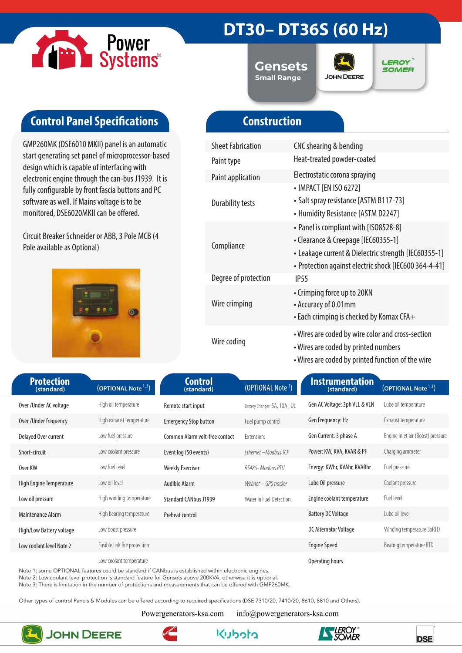

# **DT30– DT36S (60 Hz)**

**Gensets Small Range**



**LEROY SOMER** 

# **Control Panel Specifications**

GMP260MK (DSE6010 MKII) panel is an automatic start generating set panel of microprocessor-based design which is capable of interfacing with electronic engine through the can-bus J1939. It is fully configurable by front fascia buttons and PC software as well. If Mains voltage is to be monitored, DSE6020MKII can be offered.

Circuit Breaker Schneider or ABB, 3 Pole MCB (4 Pole available as Optional)



# **Construction**

| <b>Sheet Fabrication</b> | CNC shearing & bending                                                                                                                                                                        |
|--------------------------|-----------------------------------------------------------------------------------------------------------------------------------------------------------------------------------------------|
| Paint type               | Heat-treated powder-coated                                                                                                                                                                    |
| Paint application        | Electrostatic corona spraying                                                                                                                                                                 |
| <b>Durability tests</b>  | • IMPACT [EN ISO 6272]<br>• Salt spray resistance [ASTM B117-73]<br>• Humidity Resistance [ASTM D2247]                                                                                        |
| Compliance               | • Panel is compliant with [ISO8528-8]<br>• Clearance & Creepage [IEC60355-1]<br>• Leakage current & Dielectric strength [IEC60355-1]<br>• Protection against electric shock [IEC600 364-4-41] |
| Degree of protection     | IP <sub>55</sub>                                                                                                                                                                              |
| Wire crimping            | • Crimping force up to 20KN<br>• Accuracy of 0.01mm<br>• Each crimping is checked by Komax CFA+                                                                                               |
| Wire coding              | • Wires are coded by wire color and cross-section<br>• Wires are coded by printed numbers<br>• Wires are coded by printed function of the wire                                                |

| <b>Protection</b>        |                                 | <b>Control</b>                 |                               | <b>Instrumentation</b>        |                                   |
|--------------------------|---------------------------------|--------------------------------|-------------------------------|-------------------------------|-----------------------------------|
| (standard)               | (OPTIONAL Note <sup>1,3</sup> ) | (standard)                     | (OPTIONAL Note <sup>1</sup> ) | (standard)                    | (OPTIONAL Note $1,3$ )            |
| Over/Under AC voltage    | High oil temperature            | Remote start input             | Battery Changer: 5A, 10A, UL  | Gen AC Voltage: 3ph VLL & VLN | Lube oil temperature              |
| Over/Under frequency     | High exhaust temperature        | <b>Emergency Stop button</b>   | Fuel pump control             | Gen Frequency: Hz             | Exhaust temperature               |
| Delayed Over current     | Low fuel pressure               | Common Alarm volt-free contact | Extension:                    | Gen Current: 3 phase A        | Engine Inlet air (Boost) pressure |
| Short-circuit            | Low coolant pressure            | Event log (50 events)          | Ethernet - Modbus TCP         | Power: KW, KVA, KVAR & PF     | Charging ammeter                  |
| Over KW                  | Low fuel level                  | <b>Weekly Exerciser</b>        | RS485- Modbus RTU             | Energy: KWhr, KVAhr, KVARhr   | Fuel pressure                     |
| High Engine Temperature  | Low oil level                   | Audible Alarm                  | Webnet – GPS tracker          | Lube Oil pressure             | Coolant pressure                  |
| Low oil pressure         | High winding temperature        | <b>Standard CANbus J1939</b>   | Water in Fuel Detection.      | Engine coolant temperature    | Fuel level                        |
| Maintenance Alarm        | High bearing temperature        | Preheat control                |                               | <b>Battery DC Voltage</b>     | Lube oil level                    |
| High/Low Battery voltage | Low boost pressure              |                                |                               | <b>DC Alternator Voltage</b>  | Winding temperature 3xRTD         |
| Low coolant level Note 2 | Fusible link fire protection    |                                |                               | <b>Engine Speed</b>           | Bearing temperature RTD           |
|                          | Low coolant temperature         |                                |                               | Operating hours               |                                   |

Note 1: some OPTIONAL features could be standard if CANbus is established within electronic engines.

Note 2: Low coolant level protection is standard feature for Gensets above 200KVA, otherwise it is optional.

Note 3: There is limitation in the number of protections and measurements that can be offered with GMP260MK.

Other types of control Panels & Modules can be offered according to required specifications (DSE 7310/20, 7410/20, 8610, 8810 and Others).

Powergenerators-ksa.com

info@powergenerators-ksa.com